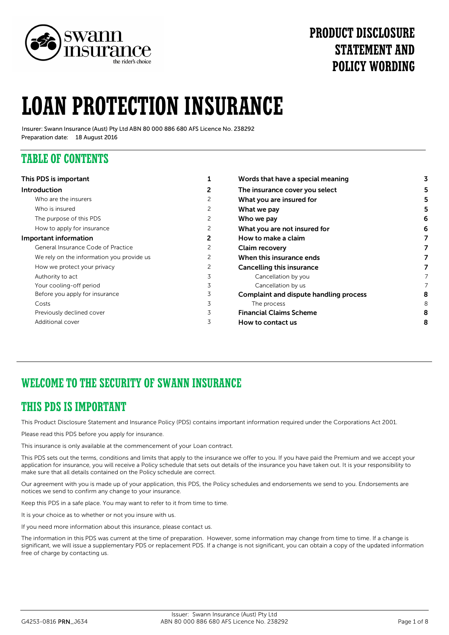

# **PRODUCT DISCLOSURE STATEMENT AND POLICY WORDING**

# **LOAN PROTECTION INSURANCE**

Insurer: Swann Insurance (Aust) Pty Ltd ABN 80 000 886 680 AFS Licence No. 238292 Preparation date: 18 August 2016

### **TABLE OF CONTENTS**

| This PDS is important                     |   | Words that have a special meaning             |   |
|-------------------------------------------|---|-----------------------------------------------|---|
| <b>Introduction</b>                       | 2 | The insurance cover you select                |   |
| Who are the insurers                      | 2 | What you are insured for                      |   |
| Who is insured                            | 2 | What we pay                                   |   |
| The purpose of this PDS                   | 2 | Who we pay                                    | 6 |
| How to apply for insurance                | 2 | What you are not insured for                  |   |
| Important information                     | 2 | How to make a claim                           |   |
| General Insurance Code of Practice        |   | <b>Claim recovery</b>                         |   |
| We rely on the information you provide us | 2 | When this insurance ends                      |   |
| How we protect your privacy               | 2 | <b>Cancelling this insurance</b>              |   |
| Authority to act                          |   | Cancellation by you                           |   |
| Your cooling-off period                   | 3 | Cancellation by us                            |   |
| Before you apply for insurance            | 3 | <b>Complaint and dispute handling process</b> | 8 |
| Costs                                     | 3 | The process                                   | 8 |
| Previously declined cover                 | 3 | <b>Financial Claims Scheme</b>                | 8 |
| Additional cover                          | 3 | How to contact us                             | 8 |

## **WELCOME TO THE SECURITY OF SWANN INSURANCE**

### **THIS PDS IS IMPORTANT**

This Product Disclosure Statement and Insurance Policy (PDS) contains important information required under the Corporations Act 2001.

Please read this PDS before you apply for insurance.

This insurance is only available at the commencement of your Loan contract.

This PDS sets out the terms, conditions and limits that apply to the insurance we offer to you. If you have paid the Premium and we accept your application for insurance, you will receive a Policy schedule that sets out details of the insurance you have taken out. It is your responsibility to make sure that all details contained on the Policy schedule are correct.

Our agreement with you is made up of your application, this PDS, the Policy schedules and endorsements we send to you. Endorsements are notices we send to confirm any change to your insurance.

Keep this PDS in a safe place. You may want to refer to it from time to time.

It is your choice as to whether or not you insure with us.

If you need more information about this insurance, please contact us.

The information in this PDS was current at the time of preparation. However, some information may change from time to time. If a change is significant, we will issue a supplementary PDS or replacement PDS. If a change is not significant, you can obtain a copy of the updated information free of charge by contacting us.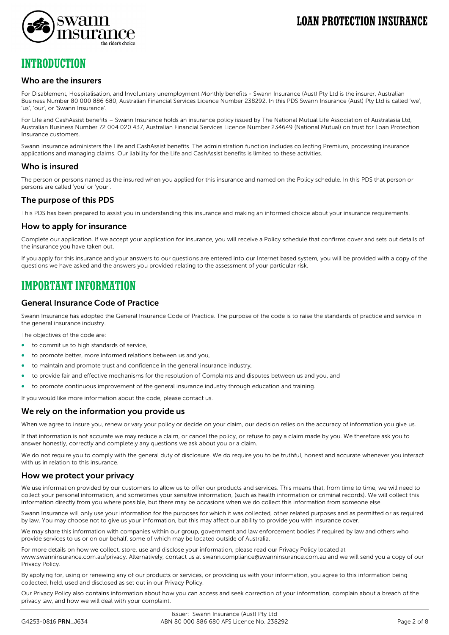

### **INTRODUCTION**

#### Who are the insurers

For Disablement, Hospitalisation, and Involuntary unemployment Monthly benefits - Swann Insurance (Aust) Pty Ltd is the insurer, Australian Business Number 80 000 886 680, Australian Financial Services Licence Number 238292. In this PDS Swann Insurance (Aust) Pty Ltd is called 'we', 'us', 'our', or 'Swann Insurance'.

For Life and CashAssist benefits – Swann Insurance holds an insurance policy issued by The National Mutual Life Association of Australasia Ltd, Australian Business Number 72 004 020 437, Australian Financial Services Licence Number 234649 (National Mutual) on trust for Loan Protection Insurance customers.

Swann Insurance administers the Life and CashAssist benefits. The administration function includes collecting Premium, processing insurance applications and managing claims. Our liability for the Life and CashAssist benefits is limited to these activities.

### Who is insured

The person or persons named as the insured when you applied for this insurance and named on the Policy schedule. In this PDS that person or persons are called 'you' or 'your'.

### The purpose of this PDS

This PDS has been prepared to assist you in understanding this insurance and making an informed choice about your insurance requirements.

#### How to apply for insurance

Complete our application. If we accept your application for insurance, you will receive a Policy schedule that confirms cover and sets out details of the insurance you have taken out.

If you apply for this insurance and your answers to our questions are entered into our Internet based system, you will be provided with a copy of the questions we have asked and the answers you provided relating to the assessment of your particular risk.

### **IMPORTANT INFORMATION**

### General Insurance Code of Practice

Swann Insurance has adopted the General Insurance Code of Practice. The purpose of the code is to raise the standards of practice and service in the general insurance industry.

The objectives of the code are:

- to commit us to high standards of service,
- to promote better, more informed relations between us and you,
- to maintain and promote trust and confidence in the general insurance industry,
- to provide fair and effective mechanisms for the resolution of Complaints and disputes between us and you, and
- to promote continuous improvement of the general insurance industry through education and training.

If you would like more information about the code, please contact us.

#### We rely on the information you provide us

When we agree to insure you, renew or vary your policy or decide on your claim, our decision relies on the accuracy of information you give us.

If that information is not accurate we may reduce a claim, or cancel the policy, or refuse to pay a claim made by you. We therefore ask you to answer honestly, correctly and completely any questions we ask about you or a claim.

We do not require you to comply with the general duty of disclosure. We do require you to be truthful, honest and accurate whenever you interact with us in relation to this insurance.

#### How we protect your privacy

We use information provided by our customers to allow us to offer our products and services. This means that, from time to time, we will need to collect your personal information, and sometimes your sensitive information, (such as health information or criminal records). We will collect this information directly from you where possible, but there may be occasions when we do collect this information from someone else.

Swann Insurance will only use your information for the purposes for which it was collected, other related purposes and as permitted or as required by law. You may choose not to give us your information, but this may affect our ability to provide you with insurance cover.

We may share this information with companies within our group, government and law enforcement bodies if required by law and others who provide services to us or on our behalf, some of which may be located outside of Australia.

For more details on how we collect, store, use and disclose your information, please read our Privacy Policy located at www.swanninsurance.com.au/privacy. Alternatively, contact us at swann.compliance@swanninsurance.com.au and we will send you a copy of our Privacy Policy.

By applying for, using or renewing any of our products or services, or providing us with your information, you agree to this information being collected, held, used and disclosed as set out in our Privacy Policy.

Our Privacy Policy also contains information about how you can access and seek correction of your information, complain about a breach of the privacy law, and how we will deal with your complaint.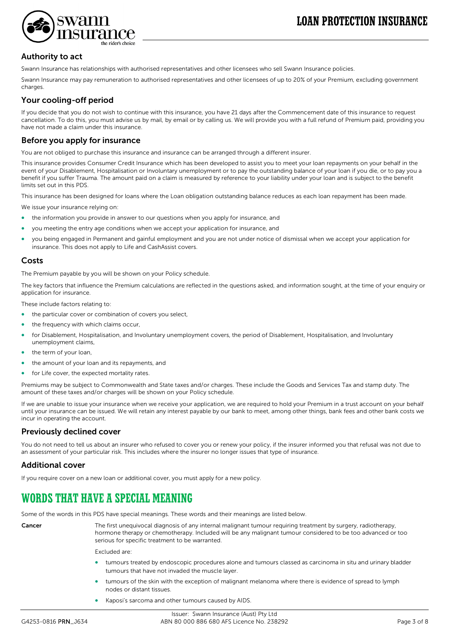

### Authority to act

Swann Insurance has relationships with authorised representatives and other licensees who sell Swann Insurance policies.

Swann Insurance may pay remuneration to authorised representatives and other licensees of up to 20% of your Premium, excluding government charges.

### Your cooling-off period

If you decide that you do not wish to continue with this insurance, you have 21 days after the Commencement date of this insurance to request cancellation. To do this, you must advise us by mail, by email or by calling us. We will provide you with a full refund of Premium paid, providing you have not made a claim under this insurance.

### Before you apply for insurance

You are not obliged to purchase this insurance and insurance can be arranged through a different insurer.

This insurance provides Consumer Credit Insurance which has been developed to assist you to meet your loan repayments on your behalf in the event of your Disablement, Hospitalisation or Involuntary unemployment or to pay the outstanding balance of your loan if you die, or to pay you a benefit if you suffer Trauma. The amount paid on a claim is measured by reference to your liability under your loan and is subject to the benefit limits set out in this PDS.

This insurance has been designed for loans where the Loan obligation outstanding balance reduces as each loan repayment has been made.

We issue your insurance relying on:

- the information you provide in answer to our questions when you apply for insurance, and
- you meeting the entry age conditions when we accept your application for insurance, and
- you being engaged in Permanent and gainful employment and you are not under notice of dismissal when we accept your application for insurance. This does not apply to Life and CashAssist covers.

#### Costs

The Premium payable by you will be shown on your Policy schedule.

The key factors that influence the Premium calculations are reflected in the questions asked, and information sought, at the time of your enquiry or application for insurance.

These include factors relating to:

- the particular cover or combination of covers you select,
- the frequency with which claims occur,
- for Disablement, Hospitalisation, and Involuntary unemployment covers, the period of Disablement, Hospitalisation, and Involuntary unemployment claims,
- the term of your loan,
- the amount of your loan and its repayments, and
- for Life cover, the expected mortality rates.

Premiums may be subject to Commonwealth and State taxes and/or charges. These include the Goods and Services Tax and stamp duty. The amount of these taxes and/or charges will be shown on your Policy schedule.

If we are unable to issue your insurance when we receive your application, we are required to hold your Premium in a trust account on your behalf until your insurance can be issued. We will retain any interest payable by our bank to meet, among other things, bank fees and other bank costs we incur in operating the account.

#### Previously declined cover

You do not need to tell us about an insurer who refused to cover you or renew your policy, if the insurer informed you that refusal was not due to an assessment of your particular risk. This includes where the insurer no longer issues that type of insurance.

#### Additional cover

If you require cover on a new loan or additional cover, you must apply for a new policy.

### **WORDS THAT HAVE A SPECIAL MEANING**

Some of the words in this PDS have special meanings. These words and their meanings are listed below.

Cancer The first unequivocal diagnosis of any internal malignant tumour requiring treatment by surgery, radiotherapy, hormone therapy or chemotherapy. Included will be any malignant tumour considered to be too advanced or too serious for specific treatment to be warranted.

Excluded are:

- tumours treated by endoscopic procedures alone and tumours classed as carcinoma in situ and urinary bladder tumours that have not invaded the muscle layer.
- tumours of the skin with the exception of malignant melanoma where there is evidence of spread to lymph nodes or distant tissues.
- Kaposi's sarcoma and other tumours caused by AIDS.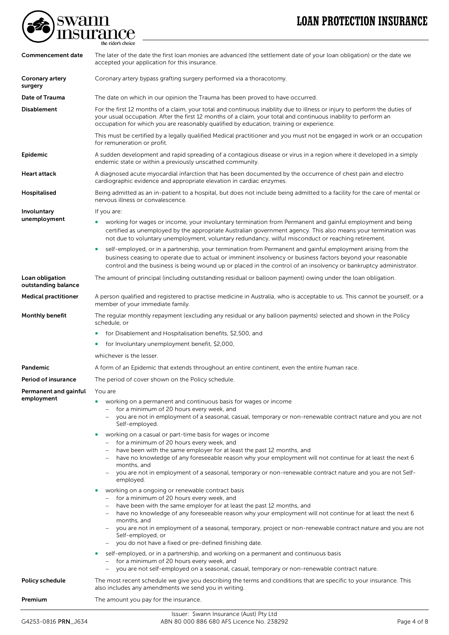# **LOAN PROTECTION INSURANCE**



| Commencement date                      | The later of the date the first loan monies are advanced (the settlement date of your loan obligation) or the date we<br>accepted your application for this insurance.                                                                                                                                                                                                                                                                                                                                                            |  |
|----------------------------------------|-----------------------------------------------------------------------------------------------------------------------------------------------------------------------------------------------------------------------------------------------------------------------------------------------------------------------------------------------------------------------------------------------------------------------------------------------------------------------------------------------------------------------------------|--|
| Coronary artery<br>surgery             | Coronary artery bypass grafting surgery performed via a thoracotomy.                                                                                                                                                                                                                                                                                                                                                                                                                                                              |  |
| Date of Trauma                         | The date on which in our opinion the Trauma has been proved to have occurred.                                                                                                                                                                                                                                                                                                                                                                                                                                                     |  |
| <b>Disablement</b>                     | For the first 12 months of a claim, your total and continuous inability due to illness or injury to perform the duties of<br>your usual occupation. After the first 12 months of a claim, your total and continuous inability to perform an<br>occupation for which you are reasonably qualified by education, training or experience.                                                                                                                                                                                            |  |
|                                        | This must be certified by a legally qualified Medical practitioner and you must not be engaged in work or an occupation<br>for remuneration or profit.                                                                                                                                                                                                                                                                                                                                                                            |  |
| Epidemic                               | A sudden development and rapid spreading of a contagious disease or virus in a region where it developed in a simply<br>endemic state or within a previously unscathed community.                                                                                                                                                                                                                                                                                                                                                 |  |
| Heart attack                           | A diagnosed acute myocardial infarction that has been documented by the occurrence of chest pain and electro<br>cardiographic evidence and appropriate elevation in cardiac enzymes.                                                                                                                                                                                                                                                                                                                                              |  |
| Hospitalised                           | Being admitted as an in-patient to a hospital, but does not include being admitted to a facility for the care of mental or<br>nervous illness or convalescence.                                                                                                                                                                                                                                                                                                                                                                   |  |
| Involuntary                            | If you are:                                                                                                                                                                                                                                                                                                                                                                                                                                                                                                                       |  |
| unemployment                           | working for wages or income, your involuntary termination from Permanent and gainful employment and being<br>certified as unemployed by the appropriate Australian government agency. This also means your termination was<br>not due to voluntary unemployment, voluntary redundancy, wilful misconduct or reaching retirement.                                                                                                                                                                                                  |  |
|                                        | self-employed, or in a partnership, your termination from Permanent and gainful employment arising from the<br>business ceasing to operate due to actual or imminent insolvency or business factors beyond your reasonable<br>control and the business is being wound up or placed in the control of an insolvency or bankruptcy administrator.                                                                                                                                                                                   |  |
| Loan obligation<br>outstanding balance | The amount of principal (including outstanding residual or balloon payment) owing under the loan obligation.                                                                                                                                                                                                                                                                                                                                                                                                                      |  |
| <b>Medical practitioner</b>            | A person qualified and registered to practise medicine in Australia, who is acceptable to us. This cannot be yourself, or a<br>member of your immediate family.                                                                                                                                                                                                                                                                                                                                                                   |  |
| Monthly benefit                        | The regular monthly repayment (excluding any residual or any balloon payments) selected and shown in the Policy<br>schedule, or                                                                                                                                                                                                                                                                                                                                                                                                   |  |
|                                        | for Disablement and Hospitalisation benefits, \$2,500, and<br>٠                                                                                                                                                                                                                                                                                                                                                                                                                                                                   |  |
|                                        | for Involuntary unemployment benefit, \$2,000,                                                                                                                                                                                                                                                                                                                                                                                                                                                                                    |  |
|                                        | whichever is the lesser.                                                                                                                                                                                                                                                                                                                                                                                                                                                                                                          |  |
| Pandemic                               | A form of an Epidemic that extends throughout an entire continent, even the entire human race.                                                                                                                                                                                                                                                                                                                                                                                                                                    |  |
| Period of insurance                    | The period of cover shown on the Policy schedule.                                                                                                                                                                                                                                                                                                                                                                                                                                                                                 |  |
| Permanent and gainful                  | You are                                                                                                                                                                                                                                                                                                                                                                                                                                                                                                                           |  |
| employment                             | working on a permanent and continuous basis for wages or income<br>for a minimum of 20 hours every week, and<br>$\overline{\phantom{a}}$<br>you are not in employment of a seasonal, casual, temporary or non-renewable contract nature and you are not<br>Self-employed.                                                                                                                                                                                                                                                         |  |
|                                        | working on a casual or part-time basis for wages or income<br>۰<br>for a minimum of 20 hours every week, and<br>- have been with the same employer for at least the past 12 months, and<br>have no knowledge of any foreseeable reason why your employment will not continue for at least the next 6<br>months, and<br>you are not in employment of a seasonal, temporary or non-renewable contract nature and you are not Self-                                                                                                  |  |
|                                        | employed.                                                                                                                                                                                                                                                                                                                                                                                                                                                                                                                         |  |
|                                        | working on a ongoing or renewable contract basis<br>- for a minimum of 20 hours every week, and<br>- have been with the same employer for at least the past 12 months, and<br>have no knowledge of any foreseeable reason why your employment will not continue for at least the next 6<br>months, and<br>you are not in employment of a seasonal, temporary, project or non-renewable contract nature and you are not<br>Self-employed, or<br>you do not have a fixed or pre-defined finishing date.<br>$\overline{\phantom{m}}$ |  |
|                                        | self-employed, or in a partnership, and working on a permanent and continuous basis<br>- for a minimum of 20 hours every week, and                                                                                                                                                                                                                                                                                                                                                                                                |  |
|                                        | you are not self-employed on a seasonal, casual, temporary or non-renewable contract nature.                                                                                                                                                                                                                                                                                                                                                                                                                                      |  |
| Policy schedule                        | The most recent schedule we give you describing the terms and conditions that are specific to your insurance. This<br>also includes any amendments we send you in writing.                                                                                                                                                                                                                                                                                                                                                        |  |
| Premium                                | The amount you pay for the insurance.                                                                                                                                                                                                                                                                                                                                                                                                                                                                                             |  |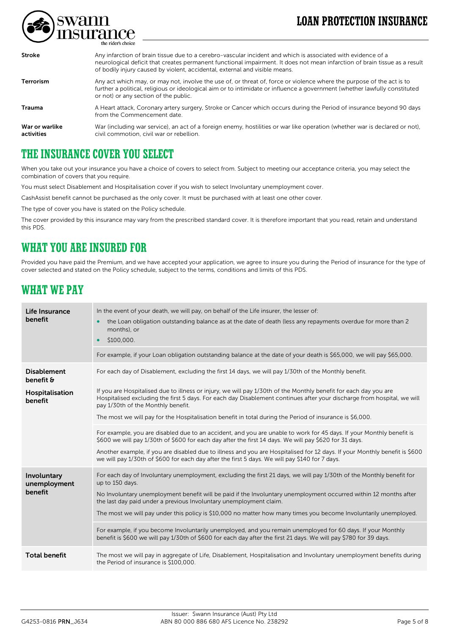# **LOAN PROTECTION INSURANCE**



| <b>Stroke</b>                | Any infarction of brain tissue due to a cerebro-vascular incident and which is associated with evidence of a<br>neurological deficit that creates permanent functional impairment. It does not mean infarction of brain tissue as a result<br>of bodily injury caused by violent, accidental, external and visible means. |
|------------------------------|---------------------------------------------------------------------------------------------------------------------------------------------------------------------------------------------------------------------------------------------------------------------------------------------------------------------------|
| <b>Terrorism</b>             | Any act which may, or may not, involve the use of, or threat of, force or violence where the purpose of the act is to<br>further a political, religious or ideological aim or to intimidate or influence a government (whether lawfully constituted<br>or not) or any section of the public.                              |
| <b>Trauma</b>                | A Heart attack, Coronary artery surgery, Stroke or Cancer which occurs during the Period of insurance beyond 90 days<br>from the Commencement date.                                                                                                                                                                       |
| War or warlike<br>activities | War (including war service), an act of a foreign enemy, hostilities or war like operation (whether war is declared or not),<br>civil commotion, civil war or rebellion.                                                                                                                                                   |

### **THE INSURANCE COVER YOU SELECT**

When you take out your insurance you have a choice of covers to select from. Subject to meeting our acceptance criteria, you may select the combination of covers that you require.

You must select Disablement and Hospitalisation cover if you wish to select Involuntary unemployment cover.

CashAssist benefit cannot be purchased as the only cover. It must be purchased with at least one other cover.

The type of cover you have is stated on the Policy schedule.

The cover provided by this insurance may vary from the prescribed standard cover. It is therefore important that you read, retain and understand this PDS.

### **WHAT YOU ARE INSURED FOR**

Provided you have paid the Premium, and we have accepted your application, we agree to insure you during the Period of insurance for the type of cover selected and stated on the Policy schedule, subject to the terms, conditions and limits of this PDS.

### **WHAT WE PAY**

| Life Insurance<br>benefit              | In the event of your death, we will pay, on behalf of the Life insurer, the lesser of:<br>the Loan obligation outstanding balance as at the date of death (less any repayments overdue for more than 2<br>months), or<br>\$100,000.                                                                                                                                                                                                                            |
|----------------------------------------|----------------------------------------------------------------------------------------------------------------------------------------------------------------------------------------------------------------------------------------------------------------------------------------------------------------------------------------------------------------------------------------------------------------------------------------------------------------|
|                                        | For example, if your Loan obligation outstanding balance at the date of your death is \$65,000, we will pay \$65,000.                                                                                                                                                                                                                                                                                                                                          |
| <b>Disablement</b><br>benefit &        | For each day of Disablement, excluding the first 14 days, we will pay 1/30th of the Monthly benefit.                                                                                                                                                                                                                                                                                                                                                           |
| Hospitalisation<br>benefit             | If you are Hospitalised due to illness or injury, we will pay 1/30th of the Monthly benefit for each day you are<br>Hospitalised excluding the first 5 days. For each day Disablement continues after your discharge from hospital, we will<br>pay 1/30th of the Monthly benefit.<br>The most we will pay for the Hospitalisation benefit in total during the Period of insurance is \$6,000.                                                                  |
|                                        | For example, you are disabled due to an accident, and you are unable to work for 45 days. If your Monthly benefit is<br>\$600 we will pay 1/30th of \$600 for each day after the first 14 days. We will pay \$620 for 31 days.<br>Another example, if you are disabled due to illness and you are Hospitalised for 12 days. If your Monthly benefit is \$600<br>we will pay 1/30th of \$600 for each day after the first 5 days. We will pay \$140 for 7 days. |
| Involuntary<br>unemployment<br>benefit | For each day of Involuntary unemployment, excluding the first 21 days, we will pay 1/30th of the Monthly benefit for<br>up to 150 days.<br>No Involuntary unemployment benefit will be paid if the Involuntary unemployment occurred within 12 months after<br>the last day paid under a previous Involuntary unemployment claim.<br>The most we will pay under this policy is \$10,000 no matter how many times you become Involuntarily unemployed.          |
|                                        | For example, if you become Involuntarily unemployed, and you remain unemployed for 60 days. If your Monthly<br>benefit is \$600 we will pay 1/30th of \$600 for each day after the first 21 days. We will pay \$780 for 39 days.                                                                                                                                                                                                                               |
| <b>Total benefit</b>                   | The most we will pay in aggregate of Life, Disablement, Hospitalisation and Involuntary unemployment benefits during<br>the Period of insurance is \$100,000.                                                                                                                                                                                                                                                                                                  |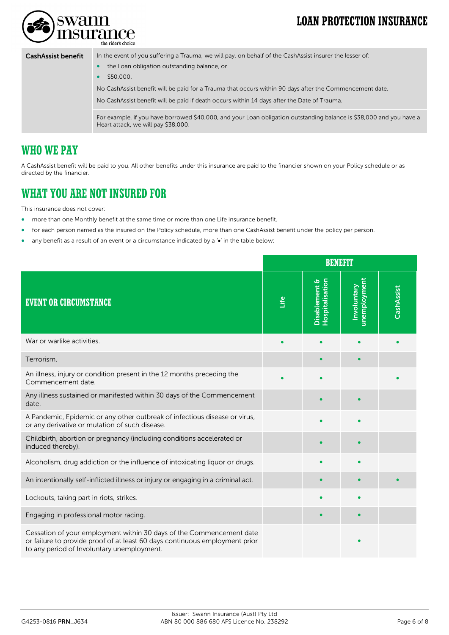# **LOAN PROTECTION INSURANCE**



the rider's choice

### CashAssist benefit In the event of you suffering a Trauma, we will pay, on behalf of the CashAssist insurer the lesser of: • the Loan obligation outstanding balance, or • \$50,000. No CashAssist benefit will be paid for a Trauma that occurs within 90 days after the Commencement date. No CashAssist benefit will be paid if death occurs within 14 days after the Date of Trauma. For example, if you have borrowed \$40,000, and your Loan obligation outstanding balance is \$38,000 and you have a Heart attack, we will pay \$38,000.

### **WHO WE PAY**

A CashAssist benefit will be paid to you. All other benefits under this insurance are paid to the financier shown on your Policy schedule or as directed by the financier.

### **WHAT YOU ARE NOT INSURED FOR**

This insurance does not cover:

- more than one Monthly benefit at the same time or more than one Life insurance benefit.
- for each person named as the insured on the Policy schedule, more than one CashAssist benefit under the policy per person.
- any benefit as a result of an event or a circumstance indicated by a '•' in the table below:

|                                                                                                                                                                                                   |      | <b>BENEFIT</b>                   |                             |            |
|---------------------------------------------------------------------------------------------------------------------------------------------------------------------------------------------------|------|----------------------------------|-----------------------------|------------|
| <b>EVENT OR CIRCUMSTANCE</b>                                                                                                                                                                      | Life | Hospitalisation<br>Disablement & | unemployment<br>Involuntary | CashAssist |
| War or warlike activities.                                                                                                                                                                        |      |                                  |                             |            |
| Terrorism.                                                                                                                                                                                        |      |                                  |                             |            |
| An illness, injury or condition present in the 12 months preceding the<br>Commencement date.                                                                                                      |      |                                  |                             |            |
| Any illness sustained or manifested within 30 days of the Commencement<br>date.                                                                                                                   |      |                                  |                             |            |
| A Pandemic, Epidemic or any other outbreak of infectious disease or virus,<br>or any derivative or mutation of such disease.                                                                      |      |                                  |                             |            |
| Childbirth, abortion or pregnancy (including conditions accelerated or<br>induced thereby).                                                                                                       |      |                                  |                             |            |
| Alcoholism, drug addiction or the influence of intoxicating liquor or drugs.                                                                                                                      |      |                                  |                             |            |
| An intentionally self-inflicted illness or injury or engaging in a criminal act.                                                                                                                  |      |                                  |                             |            |
| Lockouts, taking part in riots, strikes.                                                                                                                                                          |      |                                  |                             |            |
| Engaging in professional motor racing.                                                                                                                                                            |      | ٠                                |                             |            |
| Cessation of your employment within 30 days of the Commencement date<br>or failure to provide proof of at least 60 days continuous employment prior<br>to any period of Involuntary unemployment. |      |                                  |                             |            |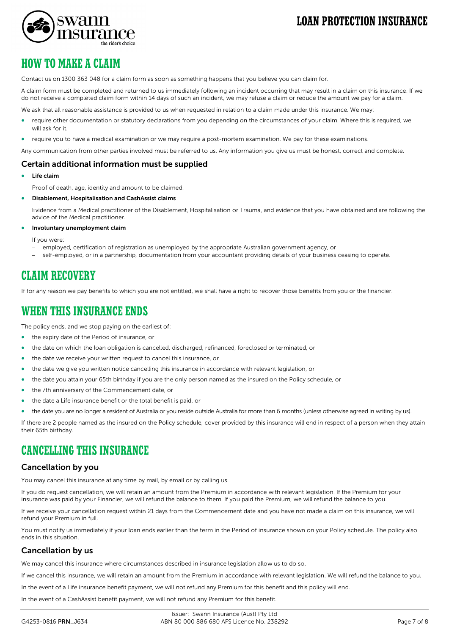

swann

Contact us on 1300 363 048 for a claim form as soon as something happens that you believe you can claim for.

A claim form must be completed and returned to us immediately following an incident occurring that may result in a claim on this insurance. If we do not receive a completed claim form within 14 days of such an incident, we may refuse a claim or reduce the amount we pay for a claim.

We ask that all reasonable assistance is provided to us when requested in relation to a claim made under this insurance. We may:

- require other documentation or statutory declarations from you depending on the circumstances of your claim. Where this is required, we will ask for it.
- require you to have a medical examination or we may require a post-mortem examination. We pay for these examinations.

Any communication from other parties involved must be referred to us. Any information you give us must be honest, correct and complete.

#### Certain additional information must be supplied

Life claim

Proof of death, age, identity and amount to be claimed.

• Disablement, Hospitalisation and CashAssist claims

Evidence from a Medical practitioner of the Disablement, Hospitalisation or Trauma, and evidence that you have obtained and are following the advice of the Medical practitioner.

• Involuntary unemployment claim

If you were:

- employed, certification of registration as unemployed by the appropriate Australian government agency, or
- − self-employed, or in a partnership, documentation from your accountant providing details of your business ceasing to operate.

### **CLAIM RECOVERY**

If for any reason we pay benefits to which you are not entitled, we shall have a right to recover those benefits from you or the financier.

### **WHEN THIS INSURANCE ENDS**

The policy ends, and we stop paying on the earliest of:

- the expiry date of the Period of insurance, or
- the date on which the loan obligation is cancelled, discharged, refinanced, foreclosed or terminated, or
- the date we receive your written request to cancel this insurance, or
- the date we give you written notice cancelling this insurance in accordance with relevant legislation, or
- the date you attain your 65th birthday if you are the only person named as the insured on the Policy schedule, or
- the 7th anniversary of the Commencement date, or
- the date a Life insurance benefit or the total benefit is paid, or
- the date you are no longer a resident of Australia or you reside outside Australia for more than 6 months (unless otherwise agreed in writing by us).

If there are 2 people named as the insured on the Policy schedule, cover provided by this insurance will end in respect of a person when they attain their 65th birthday.

### **CANCELLING THIS INSURANCE**

#### Cancellation by you

You may cancel this insurance at any time by mail, by email or by calling us.

If you do request cancellation, we will retain an amount from the Premium in accordance with relevant legislation. If the Premium for your insurance was paid by your Financier, we will refund the balance to them. If you paid the Premium, we will refund the balance to you.

If we receive your cancellation request within 21 days from the Commencement date and you have not made a claim on this insurance, we will refund your Premium in full.

You must notify us immediately if your loan ends earlier than the term in the Period of insurance shown on your Policy schedule. The policy also ends in this situation.

#### Cancellation by us

We may cancel this insurance where circumstances described in insurance legislation allow us to do so.

If we cancel this insurance, we will retain an amount from the Premium in accordance with relevant legislation. We will refund the balance to you.

In the event of a Life insurance benefit payment, we will not refund any Premium for this benefit and this policy will end.

In the event of a CashAssist benefit payment, we will not refund any Premium for this benefit.